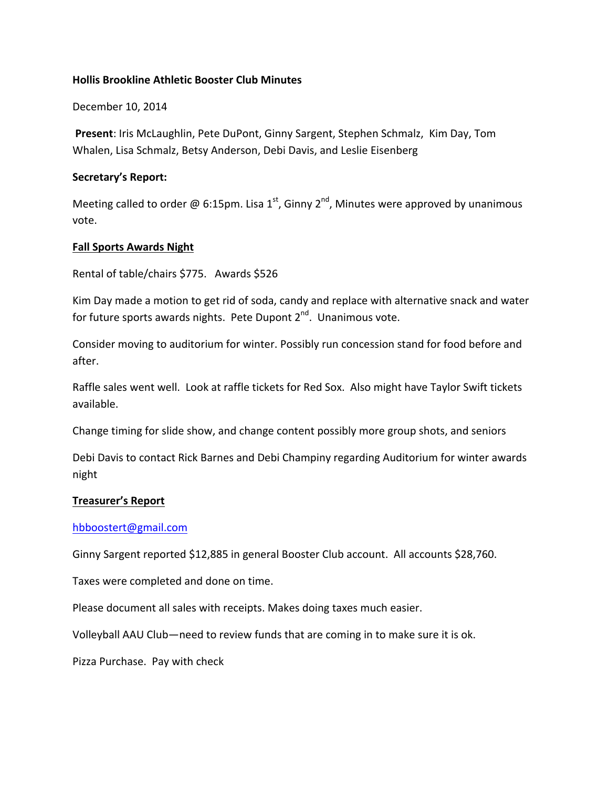## **Hollis Brookline Athletic Booster Club Minutes**

December 10, 2014

**Present: Iris McLaughlin, Pete DuPont, Ginny Sargent, Stephen Schmalz, Kim Day, Tom** Whalen, Lisa Schmalz, Betsy Anderson, Debi Davis, and Leslie Eisenberg

#### **Secretary's Report:**

Meeting called to order @ 6:15pm. Lisa 1<sup>st</sup>, Ginny 2<sup>nd</sup>, Minutes were approved by unanimous vote.

#### **Fall Sports Awards Night**

Rental of table/chairs \$775. Awards \$526

Kim Day made a motion to get rid of soda, candy and replace with alternative snack and water for future sports awards nights. Pete Dupont  $2^{nd}$ . Unanimous vote.

Consider moving to auditorium for winter. Possibly run concession stand for food before and after.

Raffle sales went well. Look at raffle tickets for Red Sox. Also might have Taylor Swift tickets available.

Change timing for slide show, and change content possibly more group shots, and seniors

Debi Davis to contact Rick Barnes and Debi Champiny regarding Auditorium for winter awards night 

## **Treasurer's Report**

## hbboostert@gmail.com

Ginny Sargent reported \$12,885 in general Booster Club account. All accounts \$28,760.

Taxes were completed and done on time.

Please document all sales with receipts. Makes doing taxes much easier.

Volleyball AAU Club—need to review funds that are coming in to make sure it is ok.

Pizza Purchase. Pay with check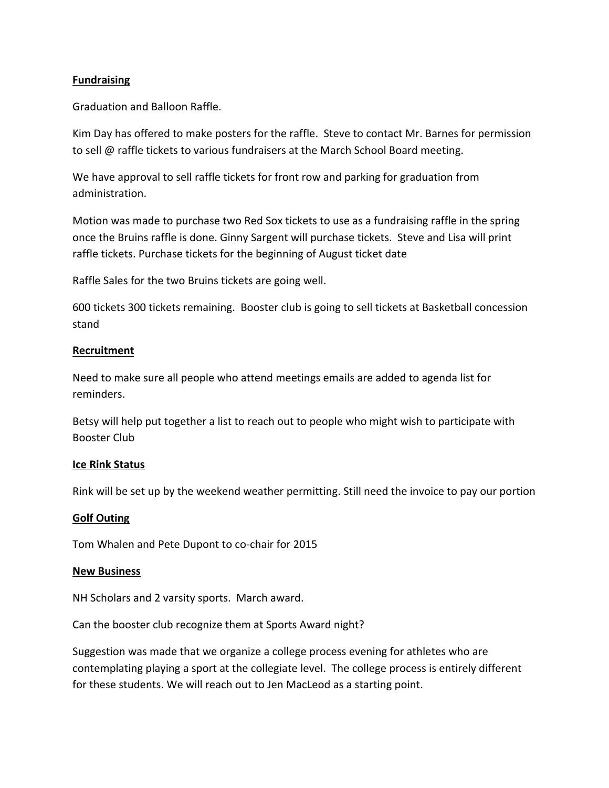## **Fundraising**

Graduation and Balloon Raffle.

Kim Day has offered to make posters for the raffle. Steve to contact Mr. Barnes for permission to sell @ raffle tickets to various fundraisers at the March School Board meeting.

We have approval to sell raffle tickets for front row and parking for graduation from administration.

Motion was made to purchase two Red Sox tickets to use as a fundraising raffle in the spring once the Bruins raffle is done. Ginny Sargent will purchase tickets. Steve and Lisa will print raffle tickets. Purchase tickets for the beginning of August ticket date

Raffle Sales for the two Bruins tickets are going well.

600 tickets 300 tickets remaining. Booster club is going to sell tickets at Basketball concession stand

## **Recruitment**

Need to make sure all people who attend meetings emails are added to agenda list for reminders.

Betsy will help put together a list to reach out to people who might wish to participate with **Booster Club** 

## **Ice Rink Status**

Rink will be set up by the weekend weather permitting. Still need the invoice to pay our portion

## **Golf Outing**

Tom Whalen and Pete Dupont to co-chair for 2015

## **New Business**

NH Scholars and 2 varsity sports. March award.

Can the booster club recognize them at Sports Award night?

Suggestion was made that we organize a college process evening for athletes who are contemplating playing a sport at the collegiate level. The college process is entirely different for these students. We will reach out to Jen MacLeod as a starting point.